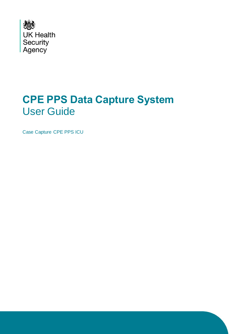

## **CPE PPS Data Capture System**  User Guide

Case Capture CPE PPS ICU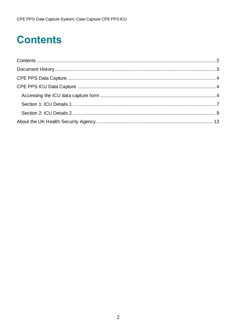# <span id="page-1-0"></span>**Contents**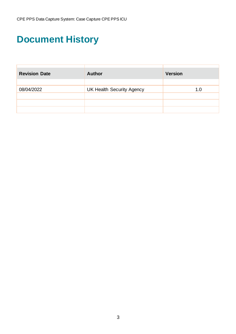# <span id="page-2-0"></span>**Document History**

| <b>Revision Date</b> | <b>Author</b>                    | <b>Version</b> |
|----------------------|----------------------------------|----------------|
|                      |                                  |                |
| 08/04/2022           | <b>UK Health Security Agency</b> | 1.0            |
|                      |                                  |                |
|                      |                                  |                |
|                      |                                  |                |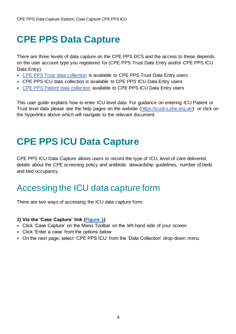### <span id="page-3-0"></span>**CPE PPS Data Capture**

There are three levels of data capture on the CPE PPS DCS and the access to these depends on the user account type you registered for (CPE PPS Trust Data Entry and/or CPE PPS ICU Data Entry):

- [CPE PPS Trust data collection](https://icudcs.phe.org.uk/ContentManagement/LinksAndAnnouncements/CPEPPSDCS_UserManagement_Trust_CaseCapture_UserGuide_v1.0.pdf) is available to CPE PPS Trust Data Entry users
- CPE PPS ICU data collection is available to CPE PPS ICU Data Entry users
- [CPE PPS Patient data collection](https://icudcs.phe.org.uk/ContentManagement/LinksAndAnnouncements/CPEPPSDCS_UserManagement_Patient_CaseCapture_UserGuide_v1.0.pdf) available to CPE PPS ICU Data Entry users

This user guide explains how to enter ICU level data. For guidance on entering ICU Patient or Trust level data please see the help pages on the website [\(https://icudcs.phe.org.uk/\)](https://icudcs.phe.org.uk/) or click on the hyperlinks above which will navigate to the relevant document.

### <span id="page-3-1"></span>**CPE PPS ICU Data Capture**

CPE PPS ICU Data Capture allows users to record the type of ICU, level of care delivered, details about the CPE screening policy and antibiotic stewardship guidelines, number of beds and bed occupancy.

### <span id="page-3-2"></span>Accessing the ICU data capture form

There are two ways of accessing the ICU data capture form:

#### **1) Via the 'Case Capture' link [\(Figure 1\)](#page-4-0)**

- Click 'Case Capture' on the Menu Toolbar on the left-hand side of your screen
- Click 'Enter a case' from the options below
- On the next page, select 'CPE PPS ICU' from the 'Data Collection' drop-down menu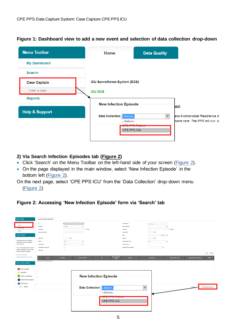

### <span id="page-4-0"></span>**Figure 1: Dashboard view to add a new event and selection of data collection drop-down**

### **2) Via Search Infection Episodes tab [\(Figure 2\)](#page-4-1)**

- Click 'Search' on the Menu Toolbar on the left-hand side of your screen [\(Figure 2\)](#page-4-1).
- On the page displayed in the main window, select 'New Infection Episode' in the bottom left [\(Figure 2\)](#page-4-1).

On the next page, select 'CPE PPS ICU' from the 'Data Collection' drop-down menu [\(Figure 2\)](#page-4-1)

### <span id="page-4-1"></span>**Figure 2: Accessing 'New Infection Episode' form via 'Search' tab**

| <b>Menu Toolbar</b>                                            | <b>Search Infection Episodes</b> |                                            |                             |                                                 |              |                          |                               |                              |
|----------------------------------------------------------------|----------------------------------|--------------------------------------------|-----------------------------|-------------------------------------------------|--------------|--------------------------|-------------------------------|------------------------------|
|                                                                | ID.                              |                                            |                             | <b>NHS Number</b>                               | -----        |                          |                               |                              |
| Search                                                         | Condition                        | $-$ Select $-$<br>$\overline{\phantom{a}}$ |                             | <b>Data Collection</b>                          |              | $\overline{\phantom{a}}$ |                               |                              |
| <b>Case Capti</b>                                              | <b>First Name</b>                | Partial                                    |                             | Surname                                         |              | Partial                  |                               |                              |
| <b>Reports</b>                                                 | <b>Specimen Number</b>           |                                            |                             | Date of Birth                                   | ] 国          |                          |                               |                              |
| <b>Help &amp; Support</b>                                      |                                  |                                            |                             | Age                                             |              | $-$ Select $ -$          |                               |                              |
|                                                                | Date From                        | $\blacksquare$                             |                             | Date To                                         | 日回           |                          |                               |                              |
| This page allows an infection<br>episode to be found using the | Region                           | <b>HATH</b><br>$\overline{\phantom{a}}$    |                             | <b>Organisation Type</b>                        | <b>HAIH</b>  | $\overline{\phantom{a}}$ |                               |                              |
| search facility.                                               | Organisation                     | <b>HAIH</b><br>$\overline{\phantom{a}}$    |                             | <b>Shared Cases</b>                             | $\Box$       |                          |                               |                              |
| For a more refined search result                               | Incomplete for sign-off          | $\Box$                                     |                             | <b>Apportionment Category</b>                   |              | $\overline{\phantom{a}}$ |                               |                              |
| please complete as many of the                                 | <b>PIR Cases</b>                 | $\Box$                                     |                             |                                                 |              |                          |                               |                              |
| search criteria as possible.                                   |                                  |                                            |                             |                                                 |              |                          |                               | Find Reset                   |
| Click here to view guide<br>See FAQs and Content for more info | п                                | <b>Condition</b><br><b>Data Collection</b> | ID.                         | <b>Data Collection</b><br>Region<br><b>Date</b> | Organisation | <b>Organisation Type</b> | <b>Apportionment Category</b> | <b>Status</b>                |
| <b>Key to Screen Symbols</b>                                   | There are no records to display  |                                            |                             |                                                 |              |                          |                               |                              |
|                                                                |                                  |                                            |                             |                                                 |              |                          |                               |                              |
| Error on page                                                  |                                  |                                            |                             |                                                 |              |                          |                               |                              |
|                                                                |                                  |                                            |                             |                                                 |              |                          |                               |                              |
| <b>Attention</b>                                               |                                  |                                            |                             |                                                 |              |                          |                               |                              |
| Saved / completed                                              |                                  |                                            | New Infection Episode       |                                                 |              |                          |                               |                              |
| Close screen / popout                                          |                                  |                                            |                             |                                                 |              |                          |                               |                              |
| Information                                                    |                                  |                                            |                             |                                                 |              |                          |                               |                              |
| Text Button                                                    |                                  |                                            |                             |                                                 |              |                          | Cancel                        | <b>New Infection Episode</b> |
|                                                                |                                  |                                            | Data Collection -- Select-- |                                                 | ▼            |                          |                               |                              |
|                                                                |                                  |                                            | --Select--                  |                                                 |              |                          |                               |                              |
|                                                                |                                  |                                            |                             | OBE BBO Ballar                                  |              |                          |                               |                              |
|                                                                |                                  |                                            |                             | <u>te este establis</u>                         |              |                          |                               |                              |
|                                                                |                                  |                                            |                             | <b>CPE PPS ICU</b>                              |              |                          |                               |                              |
|                                                                |                                  |                                            |                             |                                                 |              |                          |                               |                              |
|                                                                |                                  |                                            |                             |                                                 |              |                          |                               |                              |
|                                                                |                                  |                                            |                             |                                                 |              |                          |                               |                              |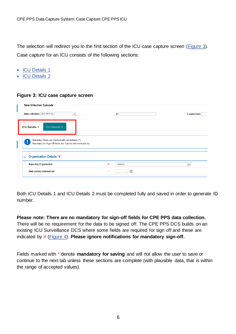The selection will redirect you to the first section of the ICU case capture screen [\(Figure 3\)](#page-5-0). Case capture for an ICU consists of the following sections:

- [ICU Details 1](#page-6-0)
- [ICU Details 2](#page-8-0)

### <span id="page-5-0"></span>**Figure 3: ICU case capture screen**

| New Infection Episode                                                                                           |         |          |                          |
|-----------------------------------------------------------------------------------------------------------------|---------|----------|--------------------------|
| Data Collection CPE PPS ICU<br>$\overline{\phantom{a}}$                                                         |         | ID       | <b>Created Date</b>      |
| <b>ICU Details 1</b><br><b>ICU Details 2</b>                                                                    |         |          |                          |
| Mandatory fields are marked with red asterisk (*)<br>Mandatory for Sign Off fields are marked with red hash (#) |         |          |                          |
| <b>Organisation Details *#</b><br>$\equiv$                                                                      |         |          |                          |
| <b>Reporting Organisation</b>                                                                                   | *#      | -Select- | $\overline{\phantom{a}}$ |
| Date survey commenced                                                                                           | $\star$ | 圃        |                          |

Both ICU Details 1 and ICU Details 2 must be completed fully and saved in order to generate ID number.

**Please note: There are no mandatory for sign-off fields for CPE PPS data collection.**  There will be no requirement for the data to be signed off. The CPE PPS DCS builds on an existing ICU Surveillance DCS where some fields are required for sign off and these are indicated by # [\(Figure 4\)](#page-6-1). **Please ignore notifications for mandatory sign-off.**

Fields marked with \* denote **mandatory for saving** and will not allow the user to save or continue to the next tab unless these sections are complete (with plausible data, that is within the range of accepted values).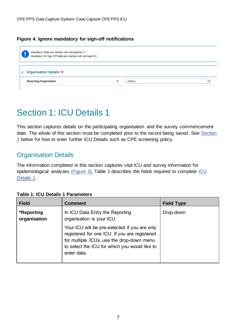### <span id="page-6-1"></span>**Figure 4. Ignore mandatory for sign-off notifications**

|          | Mandatory fields are marked with red asterisk (*)<br>Mandatory for Sign Off fields are marked with red hash (#) |    |          |  |
|----------|-----------------------------------------------------------------------------------------------------------------|----|----------|--|
| $\equiv$ | <b>Organisation Details *#</b>                                                                                  |    |          |  |
|          | <b>Reporting Organisation</b>                                                                                   | *# | -Select- |  |

### <span id="page-6-0"></span>Section 1: ICU Details 1

This section captures details on the participating organisation and the survey commencement date. The whole of this section must be completed prior to the record being saved. See [Section](#page-8-0)  [2](#page-8-0) below for how to enter further ICU Details such as CPE screening policy.

### Organisation Details

The information completed in this section captures vital ICU and survey information for epidemiological analyses [\(Figure 3\).](#page-5-0) Table 1 describes the fields required to complete [ICU](#page-6-2)  [Details 1.](#page-6-2)

| <b>Field</b>               | <b>Comment</b>                                                                                                                                                                                              | <b>Field Type</b> |
|----------------------------|-------------------------------------------------------------------------------------------------------------------------------------------------------------------------------------------------------------|-------------------|
| *Reporting<br>organisation | In ICU Data Entry the Reporting<br>organisation is your ICU.                                                                                                                                                | Drop-down         |
|                            | Your ICU will be pre-selected if you are only<br>registered for one ICU. If you are registered<br>for multiple ICUs, use the drop-down menu<br>to select the ICU for which you would like to<br>enter data. |                   |

<span id="page-6-2"></span>

|  |  | <b>Table 1: ICU Details 1 Parameters</b> |
|--|--|------------------------------------------|
|  |  |                                          |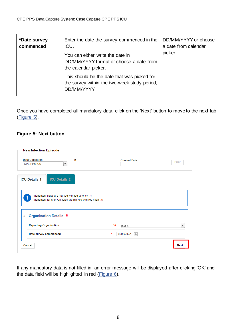| *Date survey<br>commenced | Enter the date the survey commenced in the<br>ICU.<br>You can either write the date in<br>DD/MM/YYYY format or choose a date from<br>the calendar picker. | DD/MM/YYYY or choose<br>a date from calendar<br>picker |
|---------------------------|-----------------------------------------------------------------------------------------------------------------------------------------------------------|--------------------------------------------------------|
|                           | This should be the date that was picked for<br>the survey within the two-week study period,<br>DD/MM/YYYY                                                 |                                                        |

Once you have completed all mandatory data, click on the 'Next' button to move to the next tab [\(Figure 5\)](#page-7-0).

### <span id="page-7-0"></span>**Figure 5: Next button**

| New Infection Episode                                                                                           |                            |             |
|-----------------------------------------------------------------------------------------------------------------|----------------------------|-------------|
| <b>Data Collection</b><br>ID<br>CPE PPS ICU<br>$\overline{\phantom{a}}$                                         | <b>Created Date</b>        | Print       |
| <b>ICU Details 2</b><br><b>ICU Details 1</b>                                                                    |                            |             |
| Mandatory fields are marked with red asterisk (*)<br>Mandatory for Sign Off fields are marked with red hash (#) |                            |             |
| <b>Organisation Details *#</b><br>$\equiv$                                                                      |                            |             |
| <b>Reporting Organisation</b>                                                                                   | *#<br>ICU A                | ▼           |
| Date survey commenced                                                                                           | $\star$<br>09/03/2022<br>圃 |             |
| Cancel                                                                                                          |                            | <b>Next</b> |

If any mandatory data is not filled in, an error message will be displayed after clicking 'OK' and the data field will be highlighted in red [\(Figure 6\)](#page-8-1).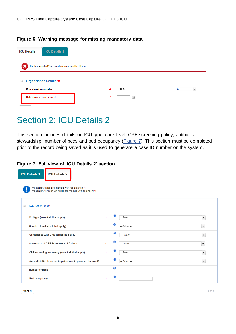#### <span id="page-8-1"></span>**Figure 6: Warning message for missing mandatory data**

| <b>ICU Details 1</b>                                    | <b>ICU Details 2</b>           |       |       |  |                                |  |  |  |  |
|---------------------------------------------------------|--------------------------------|-------|-------|--|--------------------------------|--|--|--|--|
| The fields marked * are mandatory and must be filled in |                                |       |       |  |                                |  |  |  |  |
| $\equiv$                                                | <b>Organisation Details *#</b> |       |       |  |                                |  |  |  |  |
| <b>Reporting Organisation</b>                           |                                | *#    | ICU A |  | 33<br>$\overline{\phantom{a}}$ |  |  |  |  |
| Date survey commenced                                   |                                | $\pm$ | 画     |  |                                |  |  |  |  |

### <span id="page-8-0"></span>Section 2: ICU Details 2

This section includes details on ICU type, care level, CPE screening policy, antibiotic stewardship, number of beds and bed occupancy [\(Figure 7\)](#page-8-2). This section must be completed prior to the record being saved as it is used to generate a case ID number on the system.

### <span id="page-8-2"></span>**Figure 7: Full view of 'ICU Details 2' section**

| <b>ICU Details 1</b><br><b>ICU Details 2</b>                                                                  |                       |   |                                            |      |
|---------------------------------------------------------------------------------------------------------------|-----------------------|---|--------------------------------------------|------|
| Mandatory fields are marked with red asterisk(*)<br>Mandatory for Sign Off fields are marked with red hash(#) |                       |   |                                            |      |
| <b>ICU Details 2*</b><br>$\pm$                                                                                |                       |   |                                            |      |
| ICU type (select all that apply)                                                                              | ÷                     | € | -- Select --<br>$\blacktriangledown$       |      |
| Care level (select all that apply)                                                                            |                       | € | $\overline{\phantom{a}}$<br>-- Select --   |      |
| <b>Compliance with CPE screening policy</b>                                                                   | ä,                    | ଈ | $-$ Select $-$<br>$\overline{\phantom{a}}$ |      |
| <b>Awareness of CPE Framework of Actions</b>                                                                  | $\mathbf{a}_i$        | € | $-$ Select $-$<br>$\overline{\phantom{a}}$ |      |
| CPE screening frequency (select all that apply)                                                               | ŵ                     | ଈ | -- Select --<br>$\overline{\phantom{a}}$   |      |
| Are antibiotic stewardship guidelines in place on the ward?                                                   | $\star$               | ℯ | $-$ Select $-$<br>$\overline{\phantom{a}}$ |      |
| <b>Number of beds</b>                                                                                         |                       | € |                                            |      |
| <b>Bed occupancy</b>                                                                                          | $\mathbf{R}^{\prime}$ | € |                                            |      |
| Cancel                                                                                                        |                       |   |                                            | Save |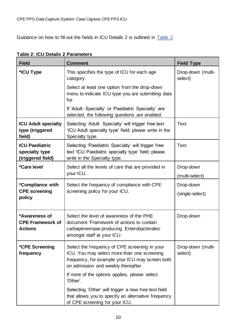Guidance on how to fill out the fields in ICU Details 2 is outlined in **Table 2**.

| <b>Field</b>                                                 | <b>Comment</b>                                                                                                                                                                         | <b>Field Type</b>            |
|--------------------------------------------------------------|----------------------------------------------------------------------------------------------------------------------------------------------------------------------------------------|------------------------------|
| *ICU Type                                                    | This specifies the type of ICU for each age<br>category.                                                                                                                               | Drop-down (multi-<br>select) |
|                                                              | Select at least one option from the drop-down<br>menu to indicate ICU type you are submitting data<br>for.                                                                             |                              |
|                                                              | If 'Adult- Specialty' or 'Paediatric Specialty' are<br>selected, the following questions are enabled.                                                                                  |                              |
| <b>ICU Adult specialty</b><br>type (triggered<br>field)      | Selecting 'Adult- Specialty' will trigger free text<br>'ICU Adult specialty type' field; please write in the<br>Specialty type.                                                        | Text                         |
| <b>ICU Paediatric</b><br>specialty type<br>(triggered field) | Selecting 'Paediatric Specialty' will trigger free<br>text 'ICU Paediatric specialty type' field; please<br>write in the Specialty type.                                               | Text                         |
| *Care level                                                  | Select all the levels of care that are provided in<br>your ICU.                                                                                                                        | Drop-down<br>(multi-select)  |
| *Compliance with<br><b>CPE</b> screening<br>policy           | Select the frequency of compliance with CPE<br>screening policy for your ICU.                                                                                                          | Drop-down<br>(single-select) |
| *Awareness of<br><b>CPE Framework of</b><br><b>Actions</b>   | Select the level of awareness of the PHE<br>document 'Framework of actions to contain<br>carbapenemase-producing Enterobacterales'<br>amongst staff at your ICU.                       | Drop-down                    |
| *CPE Screening<br>frequency                                  | Select the frequency of CPE screening in your<br>ICU. You may select more than one screening<br>frequency, for example your ICU may screen both<br>on admission and weekly thereafter. | Drop-down (multi-<br>select) |
|                                                              | If none of the options applies, please select<br>'Other'.                                                                                                                              |                              |
|                                                              | Selecting 'Other' will trigger a new free text field<br>that allows you to specify an alternative frequency<br>of CPE screening for your ICU.                                          |                              |

<span id="page-9-0"></span>

| Table 2: ICU Details 2 Parameters |  |  |
|-----------------------------------|--|--|
|-----------------------------------|--|--|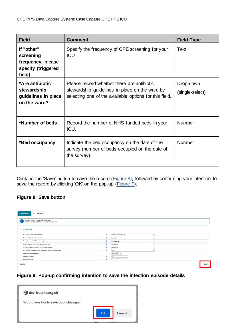| <b>Field</b>                                                                 | <b>Comment</b>                                                                                                                                         | <b>Field Type</b>            |
|------------------------------------------------------------------------------|--------------------------------------------------------------------------------------------------------------------------------------------------------|------------------------------|
| If "other"<br>screening<br>frequency, please<br>specify (triggered<br>field) | Specify the frequency of CPE screening for your<br><b>ICU</b>                                                                                          | Text                         |
| *Are antibiotic<br>stewardship<br>guidelines in place<br>on the ward?        | Please record whether there are antibiotic<br>stewardship guidelines in place on the ward by<br>selecting one of the available options for this field. | Drop-down<br>(single-select) |
| *Number of beds<br>Record the number of NHS-funded beds in your<br>ICU.      |                                                                                                                                                        | <b>Number</b>                |
| *Bed occupancy                                                               | Indicate the bed occupancy on the date of the<br>survey (number of beds occupied on the date of<br>the survey).                                        | <b>Number</b>                |

Click on the 'Save' button to save the record [\(Figure 8\)](#page-10-0), followed by confirming your intention to save the record by clicking 'OK' on the pop-up [\(Figure 9\)](#page-10-1).

### <span id="page-10-0"></span>**Figure 8: Save button**

| <b>ICU Details 1</b><br><b>ICU Details 2</b>                                                                  |              |           |                         |                          |      |
|---------------------------------------------------------------------------------------------------------------|--------------|-----------|-------------------------|--------------------------|------|
| Mandatory fields are marked with red asterisk(*)<br>Mandatory for Sign Off fields are marked with red hash(#) |              |           |                         |                          |      |
| <b>El ICU Details*</b>                                                                                        |              |           |                         |                          |      |
| ICU type (Select all that apply)                                                                              |              | $\bullet$ | Adult - General medical | $\overline{\phantom{a}}$ |      |
| Care level (Select all that apply)                                                                            | $\star$      | $\bullet$ | Level 3                 | $\overline{\phantom{a}}$ |      |
| Compliance with CPE screening policy                                                                          | $\cdot$      | $\Omega$  | Almost always           | $\mathbf{r}$             |      |
| <b>Awareness of CPE Framework of Actions</b>                                                                  | $\mathbf{A}$ | $\bullet$ | Most staff              | $\overline{\phantom{a}}$ |      |
| CPE screening frequency (Select all that apply)                                                               | $\ddot{}$    | $\Omega$  | Admission               | $\overline{\phantom{a}}$ |      |
| Are antibiotic stewardship guidelines in place on the ward?                                                   |              | $\bullet$ | Yes                     | $\overline{\phantom{a}}$ |      |
| Date survey commenced                                                                                         |              |           | 03/03/2022              |                          |      |
| Number of beds                                                                                                |              | $\bullet$ | 20                      |                          |      |
| <b>Bed occupancy</b>                                                                                          | $\star$      | $\bullet$ | 17                      |                          |      |
| Cancel                                                                                                        |              |           |                         |                          | Save |

### <span id="page-10-1"></span>**Figure 9: Pop-up confirming intention to save the infection episode details**

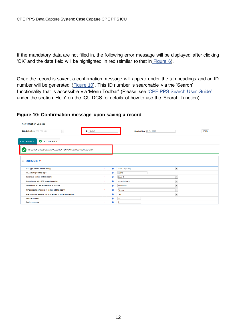If the mandatory data are not filled in, the following error message will be displayed after clicking 'OK' and the data field will be highlighted in red (similar to that in [Figure 6\)](#page-8-1).

Once the record is saved, a confirmation message will appear under the tab headings and an ID number will be generated [\(Figure 10\)](#page-11-0). This ID number is searchable via the 'Search' functionality that is accessible via 'Menu Toolbar' (Please see ['CPE PPS Search User Guide'](https://icudcs.phe.org.uk/ContentManagement/LinksAndAnnouncements/CPEPPSDCS_Case_Capture_Search_UserGuide_v1.0.pdf) under the section 'Help' on the ICU DCS for details of how to use the 'Search' function).

#### <span id="page-11-0"></span>**Figure 10: Confirmation message upon saving a record**

| <b>New Infection Episode</b>                                  |                             |                                           |              |  |  |  |
|---------------------------------------------------------------|-----------------------------|-------------------------------------------|--------------|--|--|--|
| <b>Data Collection</b> CPE PPS ICU<br>$\sim$                  | <b>ID</b> 1184649           | Created Date 06-Apr-2022                  | <b>Print</b> |  |  |  |
| <b>CU Details 2</b><br><b>ICU Details 1</b>                   |                             |                                           |              |  |  |  |
| INFECTION EPISODE DATA COLLECTION RESPONSE SAVED SUCCESSFULLY |                             |                                           |              |  |  |  |
| <b>ICU Details 2*</b><br>$\sim$                               |                             |                                           |              |  |  |  |
| ICU type (select all that apply)                              | $\bullet$<br>×              | Adult - Specialty<br>$\blacktriangledown$ |              |  |  |  |
| <b>ICU Adult speciality type</b>                              | $\bullet$                   | <b>Burns</b>                              |              |  |  |  |
| Care level (select all that apply)                            | $\bullet$<br>$\pmb{\times}$ | $\overline{\phantom{a}}$<br>Level 3       |              |  |  |  |
| Compliance with CPE screening policy                          | $\bullet$<br>$\mathbf{x}$   | Almost always<br>$\blacktriangledown$     |              |  |  |  |
| <b>Awareness of CPE Framework of Actions</b>                  | ℯ<br>$\star$                | Some staff<br>$\cdot$                     |              |  |  |  |
| CPE screening frequency (select all that apply)               | $\bullet$<br>$\mathbf{x}$   | Weekly<br>$\blacktriangledown$            |              |  |  |  |
| Are antibiotic stewardship guidelines in place on the ward?   | $\bullet$<br>$\star$        | Yes<br>$\overline{\phantom{a}}$           |              |  |  |  |
| Number of beds                                                | ℯ                           | 24                                        |              |  |  |  |
| <b>Bed occupancy</b>                                          | €<br>$\star$                | 21                                        |              |  |  |  |
|                                                               |                             |                                           |              |  |  |  |